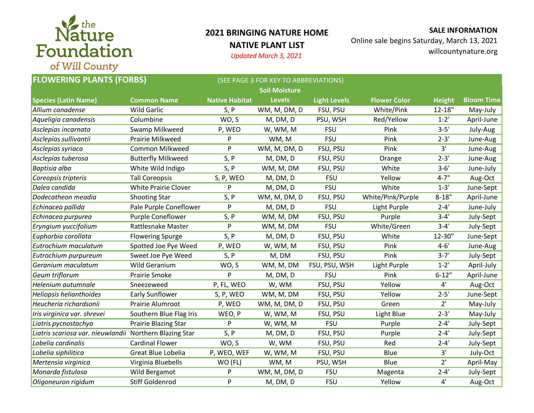

## **2021 BRINGING NATURE HOME NATIVE PLANT LIST**

*Updated March 3, 2021*

**SALE INFORMATION**

Online sale begins Saturday, March 13, 2021 willcountynature.org

**FLOWERING PLANTS (FORBS) Species (Latin Name) Common Name Native Habitat Soil Moisture Levels Light Levels Flower Color Height Bloom Time** *Allium canadense* Wild Garlic S, P WM, M, DM, D FSU, PSU White/Pink 12-18" May-July *Aqueligia canadensis* Columbine WO, S M, DM, D PSU, WSH Red/Yellow 1-2' April-June *Asclepias incarnata* Swamp Milkweed P, WEO W, WM, M FSU Pink 3-5' July-Aug *Asclepias sullivantii* Prairie Milkweed P WM, M FSU Pink 2-3' June-Aug *Asclepias syriaca* Common Milkweed P WM, M, DM, D FSU, PSU Pink 3' June-Aug Asclepias tuberosa **Musical Computation Computer S, P** M, DM, D FSU, PSU Orange 2-3' June-Aug *Baptisia alba* White Wild Indigo S, P WM, M, DM FSU, PSU White 3-6' June-July *Coreopsis tripteris* Tall Coreopsis S, P, WEO M, DM, D FSU Yellow 4-7" Aug-Oct *Dalea candida* White Prairie Clover P M, DM, D FSU White 1-3' June-Sept *Dodecatheon meadia* Shooting Star S, P WM, M, DM, D FSU, PSU White/Pink/Purple 8-18" April-June *Echinacea pallida* Pale Purple Coneflower P M, DM, D FSU Light Purple 2-4' June-July *Echinacea purpurea* Purple Coneflower S, P WM, M, DM FSU, PSU Purple 3-4' July-Sept *Eryngium yuccifolium* Rattlesnake Master P WM, M, DM FSU White/Green 3-4' July-Sept *Euphorbia corollata* Flowering Spurge S, P M, DM, D FSU, PSU White 12-30" June-Sept *Eutrochium maculatum* Spotted Joe Pye Weed P, WEO W, WM, M FSU, PSU Pink 4-6' June-Aug *Eutrochium purpureum* Sweet Joe Pye Weed S, P M, DM FSU, PSU Pink 3-7' July-Sept *Geranium maculatum* Wild Geranium WO, S WM, M, DM FSU, PSU, WSH Light Purple 1-2' April-July Geum triflorum **Prairie Smoke** P M, DM, D FSU Pink 6-12" April-June *Helenium autumnale* Sneezeweed P, FL, WEO W, WM FSU, PSU Yellow 4' Aug-Oct *Heliopsis helianthoides* Early Sunflower S, P, WEO WM, M, DM FSU, PSU Yellow 2-5' June-Sept *Heucheria richardsonii* Prairie Alumroot P, WEO WM, M, DM, D FSU, PSU Green 2' May-July *Iris virginica var. shrevei* Southern Blue Flag Iris WEO, P W, WM, M FSU, PSU Light Blue 2-3' May-July *Liatris pycnostachya* Prairie Blazing Star P W, WM, M FSU Purple 2-4' July-Sept *Liatris scariosa var. nieuwlandii* Northern Blazing Star S, P M, DM, D FSU, PSU Purple 2-4' July-Sept *Lobelia cardinalis* Cardinal Flower WO, S W, WM FSU, PSU Red 2-4' July-Sept *Lobelia siphilitica* Great Blue Lobelia P, WEO, WEF W, WM, M FSU, PSU Blue 3' July-Oct *Mertensia virginica* Virginia Bluebells WO (FL) WM, M PSU, WSH Blue 2' April-May Monarda fistulosa **Multa Wild Bergamot** P MM, M, DM, D FSU Magenta 2-4' July-Sept (SEE PAGE 3 FOR KEY TO ABBREVIATIONS)

*Oligoneuron rigidum* Stiff Goldenrod P M, DM, D FSU Yellow 4' Aug-Oct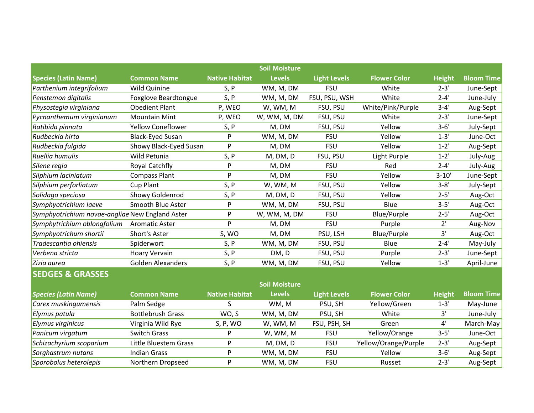|                                                 |                             |                       | <b>Soil Moisture</b> |                     |                      |               |                   |
|-------------------------------------------------|-----------------------------|-----------------------|----------------------|---------------------|----------------------|---------------|-------------------|
| <b>Species (Latin Name)</b>                     | <b>Common Name</b>          | <b>Native Habitat</b> | <b>Levels</b>        | <b>Light Levels</b> | <b>Flower Color</b>  | <b>Height</b> | <b>Bloom Time</b> |
| Parthenium integrifolium                        | Wild Quinine                | S, P                  | WM, M, DM            | <b>FSU</b>          | White                | $2 - 3'$      | June-Sept         |
| Penstemon digitalis                             | <b>Foxglove Beardtongue</b> | S, P                  | WM, M, DM            | FSU, PSU, WSH       | White                | $2 - 4'$      | June-July         |
| Physostegia virginiana                          | <b>Obedient Plant</b>       | P, WEO                | W, WM, M             | FSU, PSU            | White/Pink/Purple    | $3 - 4'$      | Aug-Sept          |
| Pycnanthemum virginianum                        | <b>Mountain Mint</b>        | P, WEO                | W, WM, M, DM         | FSU, PSU            | White                | $2 - 3'$      | June-Sept         |
| Ratibida pinnata                                | <b>Yellow Coneflower</b>    | S, P                  | M, DM                | FSU, PSU            | Yellow               | $3 - 6'$      | July-Sept         |
| Rudbeckia hirta                                 | <b>Black-Eyed Susan</b>     | P                     | WM, M, DM            | <b>FSU</b>          | Yellow               | $1 - 3'$      | June-Oct          |
| Rudbeckia fulgida                               | Showy Black-Eyed Susan      | P                     | M, DM                | <b>FSU</b>          | Yellow               | $1 - 2'$      | Aug-Sept          |
| Ruellia humulis                                 | Wild Petunia                | S, P                  | M, DM, D             | FSU, PSU            | Light Purple         | $1 - 2'$      | July-Aug          |
| Silene regia                                    | <b>Royal Catchfly</b>       | P                     | M, DM                | <b>FSU</b>          | Red                  | $2 - 4'$      | July-Aug          |
| Silphium laciniatum                             | <b>Compass Plant</b>        | P                     | M, DM                | <b>FSU</b>          | Yellow               | $3 - 10'$     | June-Sept         |
| Silphium perforliatum                           | Cup Plant                   | S, P                  | W, WM, M             | FSU, PSU            | Yellow               | $3 - 8'$      | July-Sept         |
| Solidago speciosa                               | Showy Goldenrod             | S, P                  | M, DM, D             | FSU, PSU            | Yellow               | $2 - 5'$      | Aug-Oct           |
| Symphyotrichium laeve                           | Smooth Blue Aster           | P                     | WM, M, DM            | FSU, PSU            | Blue                 | $3 - 5'$      | Aug-Oct           |
| Symphyotrichium novae-angliae New England Aster |                             | P                     | W, WM, M, DM         | <b>FSU</b>          | <b>Blue/Purple</b>   | $2 - 5'$      | Aug-Oct           |
| Symphytrichium oblongfolium                     | <b>Aromatic Aster</b>       | <b>p</b>              | M, DM                | <b>FSU</b>          | Purple               | 2'            | Aug-Nov           |
| Symphyotrichum shortii                          | Short's Aster               | S, WO                 | M, DM                | PSU, LSH            | <b>Blue/Purple</b>   | 3'            | Aug-Oct           |
| Tradescantia ohiensis                           | Spiderwort                  | S, P                  | WM, M, DM            | FSU, PSU            | Blue                 | $2 - 4'$      | May-July          |
| Verbena stricta                                 | Hoary Vervain               | S, P                  | DM, D                | FSU, PSU            | Purple               | $2 - 3'$      | June-Sept         |
| Zizia aurea                                     | <b>Golden Alexanders</b>    | S, P                  | WM, M, DM            | FSU, PSU            | Yellow               | $1 - 3'$      | April-June        |
| <b>SEDGES &amp; GRASSES</b>                     |                             |                       |                      |                     |                      |               |                   |
|                                                 |                             |                       | <b>Soil Moisture</b> |                     |                      |               |                   |
| <b>Species (Latin Name)</b>                     | <b>Common Name</b>          | <b>Native Habitat</b> | <b>Levels</b>        | <b>Light Levels</b> | <b>Flower Color</b>  | <b>Height</b> | <b>Bloom Time</b> |
| Carex muskingumensis                            | Palm Sedge                  | S.                    | WM, M                | PSU, SH             | Yellow/Green         | $1 - 3'$      | May-June          |
| Elymus patula                                   | <b>Bottlebrush Grass</b>    | WO, S                 | WM, M, DM            | PSU, SH             | White                | 3'            | June-July         |
| <b>Elymus virginicus</b>                        | Virginia Wild Rye           | S, P, WO              | W, WM, M             | FSU, PSH, SH        | Green                | 4'            | March-May         |
| Panicum virgatum                                | <b>Switch Grass</b>         | P                     | W, WM, M             | <b>FSU</b>          | Yellow/Orange        | $3 - 5'$      | June-Oct          |
| Schizachyrium scoparium                         | Little Bluestem Grass       | P                     | M, DM, D             | <b>FSU</b>          | Yellow/Orange/Purple | $2 - 3'$      | Aug-Sept          |
| Sorghastrum nutans                              | <b>Indian Grass</b>         | P                     | WM, M, DM            | <b>FSU</b>          | Yellow               | $3 - 6'$      | Aug-Sept          |
| Sporobolus heterolepis                          | Northern Dropseed           | P                     | WM, M, DM            | <b>FSU</b>          | Russet               | $2 - 3'$      | Aug-Sept          |